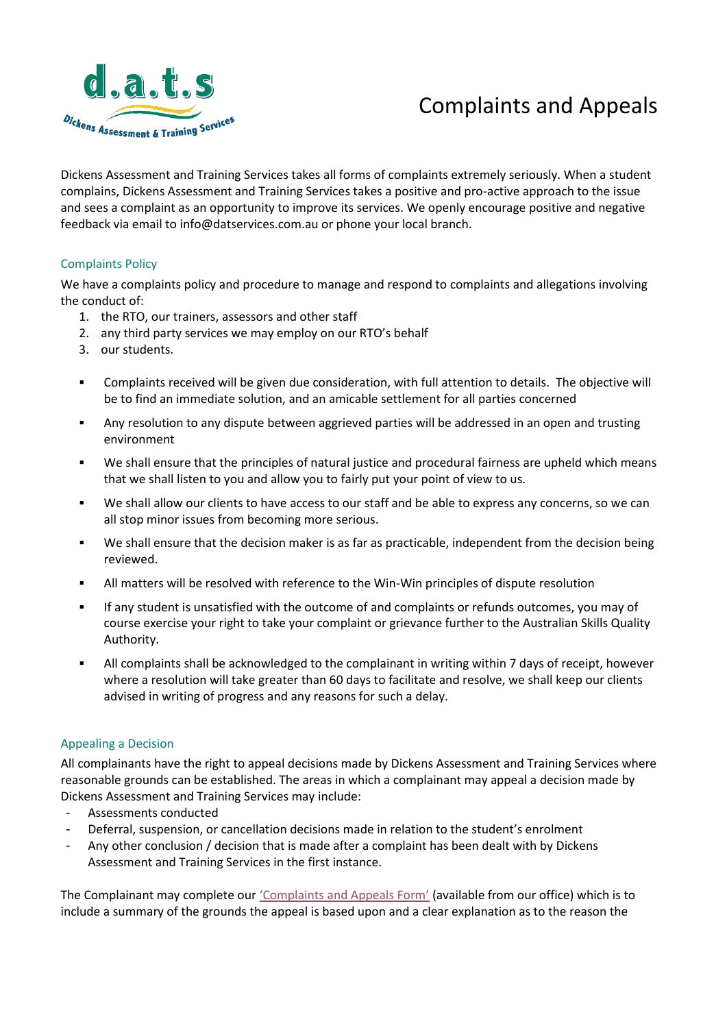# Complaints and Appeals



Dickens Assessment and Training Services takes all forms of complaints extremely seriously. When a student complains, Dickens Assessment and Training Services takes a positive and pro-active approach to the issue and sees a complaint as an opportunity to improve its services. We openly encourage positive and negative feedback via email to info@datservices.com.au or phone your local branch.

# Complaints Policy

We have a complaints policy and procedure to manage and respond to complaints and allegations involving the conduct of:

- 1. the RTO, our trainers, assessors and other staff
- 2. any third party services we may employ on our RTO's behalf
- 3. our students.
- Complaints received will be given due consideration, with full attention to details. The objective will be to find an immediate solution, and an amicable settlement for all parties concerned
- Any resolution to any dispute between aggrieved parties will be addressed in an open and trusting environment
- We shall ensure that the principles of natural justice and procedural fairness are upheld which means that we shall listen to you and allow you to fairly put your point of view to us.
- We shall allow our clients to have access to our staff and be able to express any concerns, so we can all stop minor issues from becoming more serious.
- We shall ensure that the decision maker is as far as practicable, independent from the decision being reviewed.
- All matters will be resolved with reference to the Win-Win principles of dispute resolution
- If any student is unsatisfied with the outcome of and complaints or refunds outcomes, you may of course exercise your right to take your complaint or grievance further to the Australian Skills Quality Authority.
- All complaints shall be acknowledged to the complainant in writing within 7 days of receipt, however where a resolution will take greater than 60 days to facilitate and resolve, we shall keep our clients advised in writing of progress and any reasons for such a delay.

#### Appealing a Decision

All complainants have the right to appeal decisions made by Dickens Assessment and Training Services where reasonable grounds can be established. The areas in which a complainant may appeal a decision made by Dickens Assessment and Training Services may include:

- Assessments conducted
- Deferral, suspension, or cancellation decisions made in relation to the student's enrolment
- Any other conclusion / decision that is made after a complaint has been dealt with by Dickens Assessment and Training Services in the first instance.

The Complainant may complete our ['Complaints and Appeals Form'](Complaint%20Form.pdf) (available from our office) which is to include a summary of the grounds the appeal is based upon and a clear explanation as to the reason the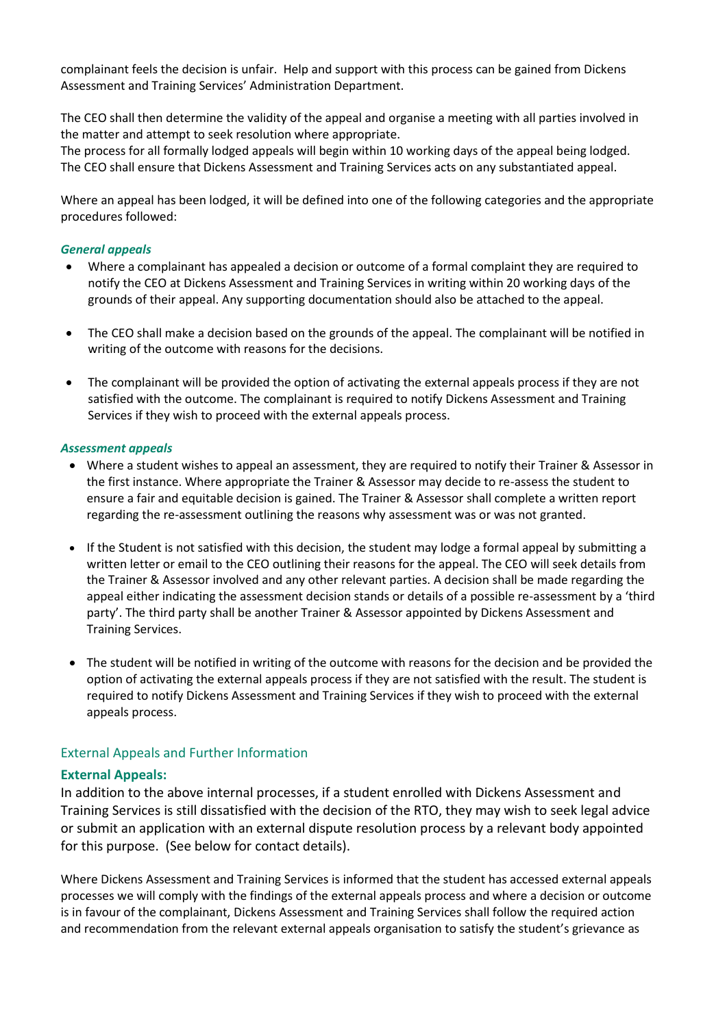complainant feels the decision is unfair. Help and support with this process can be gained from Dickens Assessment and Training Services' Administration Department.

The CEO shall then determine the validity of the appeal and organise a meeting with all parties involved in the matter and attempt to seek resolution where appropriate.

The process for all formally lodged appeals will begin within 10 working days of the appeal being lodged. The CEO shall ensure that Dickens Assessment and Training Services acts on any substantiated appeal.

Where an appeal has been lodged, it will be defined into one of the following categories and the appropriate procedures followed:

#### *General appeals*

- Where a complainant has appealed a decision or outcome of a formal complaint they are required to notify the CEO at Dickens Assessment and Training Services in writing within 20 working days of the grounds of their appeal. Any supporting documentation should also be attached to the appeal.
- The CEO shall make a decision based on the grounds of the appeal. The complainant will be notified in writing of the outcome with reasons for the decisions.
- The complainant will be provided the option of activating the external appeals process if they are not satisfied with the outcome. The complainant is required to notify Dickens Assessment and Training Services if they wish to proceed with the external appeals process.

#### *Assessment appeals*

- Where a student wishes to appeal an assessment, they are required to notify their Trainer & Assessor in the first instance. Where appropriate the Trainer & Assessor may decide to re-assess the student to ensure a fair and equitable decision is gained. The Trainer & Assessor shall complete a written report regarding the re-assessment outlining the reasons why assessment was or was not granted.
- If the Student is not satisfied with this decision, the student may lodge a formal appeal by submitting a written letter or email to the CEO outlining their reasons for the appeal. The CEO will seek details from the Trainer & Assessor involved and any other relevant parties. A decision shall be made regarding the appeal either indicating the assessment decision stands or details of a possible re-assessment by a 'third party'. The third party shall be another Trainer & Assessor appointed by Dickens Assessment and Training Services.
- The student will be notified in writing of the outcome with reasons for the decision and be provided the option of activating the external appeals process if they are not satisfied with the result. The student is required to notify Dickens Assessment and Training Services if they wish to proceed with the external appeals process.

#### External Appeals and Further Information

## **External Appeals:**

In addition to the above internal processes, if a student enrolled with Dickens Assessment and Training Services is still dissatisfied with the decision of the RTO, they may wish to seek legal advice or submit an application with an external dispute resolution process by a relevant body appointed for this purpose. (See below for contact details).

Where Dickens Assessment and Training Services is informed that the student has accessed external appeals processes we will comply with the findings of the external appeals process and where a decision or outcome is in favour of the complainant, Dickens Assessment and Training Services shall follow the required action and recommendation from the relevant external appeals organisation to satisfy the student's grievance as